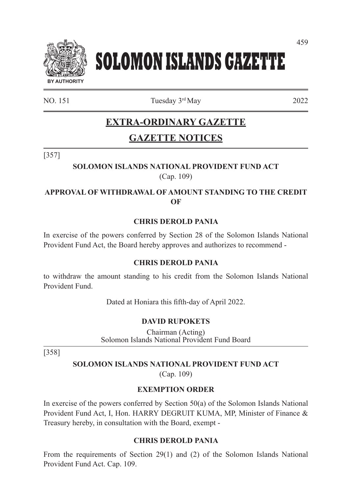

# **SOLOMON ISLANDS GAZETTE**

 $NQ$ . 151 Tuesday  $3^{rd}$  May 2022

459

# **EXTRA-ORDINARY GAZETTE**

# **GAZETTE NOTICES**

# [357]

# **SOLOMON ISLANDS NATIONAL PROVIDENT FUND ACT**  (Cap. 109)

# **APPROVAL OF WITHDRAWAL OF AMOUNT STANDING TO THE CREDIT OF**

## **CHRIS DEROLD PANIA**

In exercise of the powers conferred by Section 28 of the Solomon Islands National Provident Fund Act, the Board hereby approves and authorizes to recommend -

# **CHRIS DEROLD PANIA**

to withdraw the amount standing to his credit from the Solomon Islands National Provident Fund.

Dated at Honiara this fifth-day of April 2022.

# **DAVID RUPOKETS**

Chairman (Acting) Solomon Islands National Provident Fund Board

[358]

# **SOLOMON ISLANDS NATIONAL PROVIDENT FUND ACT**

(Cap. 109)

# **EXEMPTION ORDER**

In exercise of the powers conferred by Section 50(a) of the Solomon Islands National Provident Fund Act, I, Hon. HARRY DEGRUIT KUMA, MP, Minister of Finance & Treasury hereby, in consultation with the Board, exempt -

## **CHRIS DEROLD PANIA**

From the requirements of Section 29(1) and (2) of the Solomon Islands National Provident Fund Act. Cap. 109.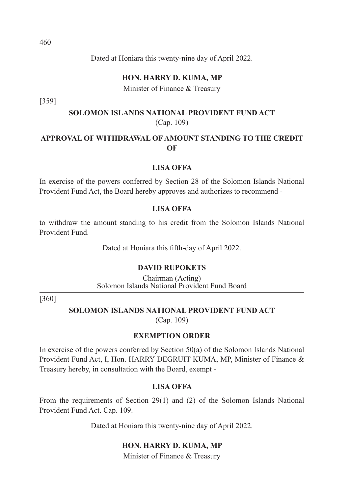# **HON. HARRY D. KUMA, MP**

Minister of Finance & Treasury

[359]

# **SOLOMON ISLANDS NATIONAL PROVIDENT FUND ACT**  (Cap. 109)

# **APPROVAL OF WITHDRAWAL OF AMOUNT STANDING TO THE CREDIT OF**

#### **LISA OFFA**

In exercise of the powers conferred by Section 28 of the Solomon Islands National Provident Fund Act, the Board hereby approves and authorizes to recommend -

## **LISA OFFA**

to withdraw the amount standing to his credit from the Solomon Islands National Provident Fund.

Dated at Honiara this fifth-day of April 2022.

## **DAVID RUPOKETS**

Chairman (Acting) Solomon Islands National Provident Fund Board

[360]

## **SOLOMON ISLANDS NATIONAL PROVIDENT FUND ACT**  (Cap. 109)

## **EXEMPTION ORDER**

In exercise of the powers conferred by Section 50(a) of the Solomon Islands National Provident Fund Act, I, Hon. HARRY DEGRUIT KUMA, MP, Minister of Finance & Treasury hereby, in consultation with the Board, exempt -

## **LISA OFFA**

From the requirements of Section 29(1) and (2) of the Solomon Islands National Provident Fund Act. Cap. 109.

Dated at Honiara this twenty-nine day of April 2022.

## **HON. HARRY D. KUMA, MP**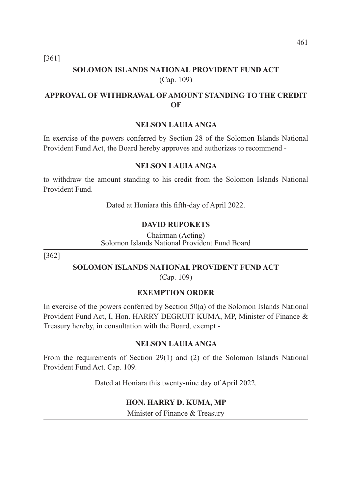[361]

# **SOLOMON ISLANDS NATIONAL PROVIDENT FUND ACT**  (Cap. 109)

# **APPROVAL OF WITHDRAWAL OF AMOUNT STANDING TO THE CREDIT OF**

#### **NELSON LAUIA ANGA**

In exercise of the powers conferred by Section 28 of the Solomon Islands National Provident Fund Act, the Board hereby approves and authorizes to recommend -

#### **NELSON LAUIA ANGA**

to withdraw the amount standing to his credit from the Solomon Islands National Provident Fund.

Dated at Honiara this fifth-day of April 2022.

#### **DAVID RUPOKETS**

Chairman (Acting) Solomon Islands National Provident Fund Board

[362]

## **SOLOMON ISLANDS NATIONAL PROVIDENT FUND ACT**

(Cap. 109)

## **EXEMPTION ORDER**

In exercise of the powers conferred by Section 50(a) of the Solomon Islands National Provident Fund Act, I, Hon. HARRY DEGRUIT KUMA, MP, Minister of Finance & Treasury hereby, in consultation with the Board, exempt -

## **NELSON LAUIA ANGA**

From the requirements of Section 29(1) and (2) of the Solomon Islands National Provident Fund Act. Cap. 109.

Dated at Honiara this twenty-nine day of April 2022.

#### **HON. HARRY D. KUMA, MP**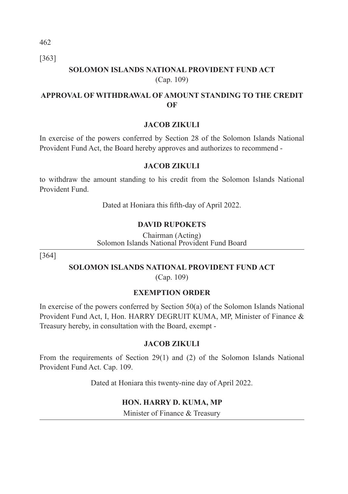[363]

# **SOLOMON ISLANDS NATIONAL PROVIDENT FUND ACT**  (Cap. 109)

# **APPROVAL OF WITHDRAWAL OF AMOUNT STANDING TO THE CREDIT OF**

## **JACOB ZIKULI**

In exercise of the powers conferred by Section 28 of the Solomon Islands National Provident Fund Act, the Board hereby approves and authorizes to recommend -

## **JACOB ZIKULI**

to withdraw the amount standing to his credit from the Solomon Islands National Provident Fund.

Dated at Honiara this fifth-day of April 2022.

## **DAVID RUPOKETS**

Chairman (Acting) Solomon Islands National Provident Fund Board

[364]

## **SOLOMON ISLANDS NATIONAL PROVIDENT FUND ACT**

(Cap. 109)

## **EXEMPTION ORDER**

In exercise of the powers conferred by Section 50(a) of the Solomon Islands National Provident Fund Act, I, Hon. HARRY DEGRUIT KUMA, MP, Minister of Finance & Treasury hereby, in consultation with the Board, exempt -

## **JACOB ZIKULI**

From the requirements of Section 29(1) and (2) of the Solomon Islands National Provident Fund Act. Cap. 109.

Dated at Honiara this twenty-nine day of April 2022.

## **HON. HARRY D. KUMA, MP**

Minister of Finance & Treasury

462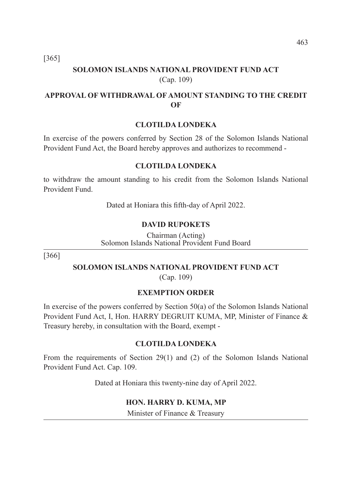[365]

# **SOLOMON ISLANDS NATIONAL PROVIDENT FUND ACT**  (Cap. 109)

# **APPROVAL OF WITHDRAWAL OF AMOUNT STANDING TO THE CREDIT OF**

#### **CLOTILDA LONDEKA**

In exercise of the powers conferred by Section 28 of the Solomon Islands National Provident Fund Act, the Board hereby approves and authorizes to recommend -

#### **CLOTILDA LONDEKA**

to withdraw the amount standing to his credit from the Solomon Islands National Provident Fund.

Dated at Honiara this fifth-day of April 2022.

#### **DAVID RUPOKETS**

Chairman (Acting) Solomon Islands National Provident Fund Board

[366]

## **SOLOMON ISLANDS NATIONAL PROVIDENT FUND ACT**

(Cap. 109)

## **EXEMPTION ORDER**

In exercise of the powers conferred by Section 50(a) of the Solomon Islands National Provident Fund Act, I, Hon. HARRY DEGRUIT KUMA, MP, Minister of Finance & Treasury hereby, in consultation with the Board, exempt -

## **CLOTILDA LONDEKA**

From the requirements of Section 29(1) and (2) of the Solomon Islands National Provident Fund Act. Cap. 109.

Dated at Honiara this twenty-nine day of April 2022.

#### **HON. HARRY D. KUMA, MP**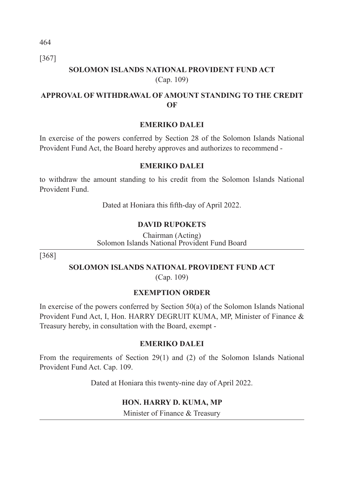464

[367]

**SOLOMON ISLANDS NATIONAL PROVIDENT FUND ACT**  (Cap. 109)

# **APPROVAL OF WITHDRAWAL OF AMOUNT STANDING TO THE CREDIT OF**

## **EMERIKO DALEI**

In exercise of the powers conferred by Section 28 of the Solomon Islands National Provident Fund Act, the Board hereby approves and authorizes to recommend -

## **EMERIKO DALEI**

to withdraw the amount standing to his credit from the Solomon Islands National Provident Fund.

Dated at Honiara this fifth-day of April 2022.

## **DAVID RUPOKETS**

Chairman (Acting) Solomon Islands National Provident Fund Board

[368]

# **SOLOMON ISLANDS NATIONAL PROVIDENT FUND ACT**

(Cap. 109)

# **EXEMPTION ORDER**

In exercise of the powers conferred by Section 50(a) of the Solomon Islands National Provident Fund Act, I, Hon. HARRY DEGRUIT KUMA, MP, Minister of Finance & Treasury hereby, in consultation with the Board, exempt -

## **EMERIKO DALEI**

From the requirements of Section 29(1) and (2) of the Solomon Islands National Provident Fund Act. Cap. 109.

Dated at Honiara this twenty-nine day of April 2022.

# **HON. HARRY D. KUMA, MP**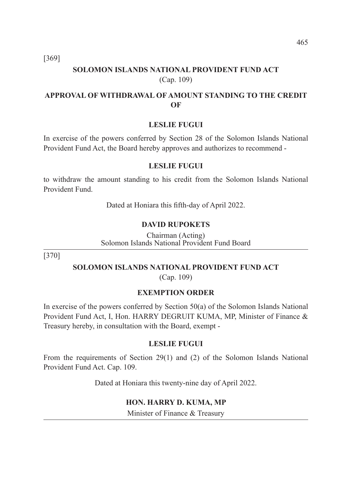[369]

# **SOLOMON ISLANDS NATIONAL PROVIDENT FUND ACT**  (Cap. 109)

# **APPROVAL OF WITHDRAWAL OF AMOUNT STANDING TO THE CREDIT OF**

#### **LESLIE FUGUI**

In exercise of the powers conferred by Section 28 of the Solomon Islands National Provident Fund Act, the Board hereby approves and authorizes to recommend -

#### **LESLIE FUGUI**

to withdraw the amount standing to his credit from the Solomon Islands National Provident Fund.

Dated at Honiara this fifth-day of April 2022.

#### **DAVID RUPOKETS**

Chairman (Acting) Solomon Islands National Provident Fund Board

[370]

## **SOLOMON ISLANDS NATIONAL PROVIDENT FUND ACT**

(Cap. 109)

## **EXEMPTION ORDER**

In exercise of the powers conferred by Section 50(a) of the Solomon Islands National Provident Fund Act, I, Hon. HARRY DEGRUIT KUMA, MP, Minister of Finance & Treasury hereby, in consultation with the Board, exempt -

#### **LESLIE FUGUI**

From the requirements of Section 29(1) and (2) of the Solomon Islands National Provident Fund Act. Cap. 109.

Dated at Honiara this twenty-nine day of April 2022.

#### **HON. HARRY D. KUMA, MP**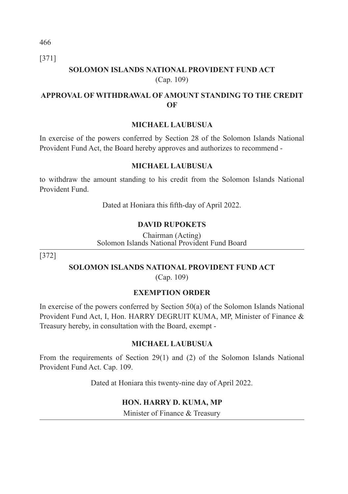466 [371]

# **SOLOMON ISLANDS NATIONAL PROVIDENT FUND ACT**  (Cap. 109)

# **APPROVAL OF WITHDRAWAL OF AMOUNT STANDING TO THE CREDIT OF**

## **MICHAEL LAUBUSUA**

In exercise of the powers conferred by Section 28 of the Solomon Islands National Provident Fund Act, the Board hereby approves and authorizes to recommend -

## **MICHAEL LAUBUSUA**

to withdraw the amount standing to his credit from the Solomon Islands National Provident Fund.

Dated at Honiara this fifth-day of April 2022.

## **DAVID RUPOKETS**

Chairman (Acting) Solomon Islands National Provident Fund Board

[372]

## **SOLOMON ISLANDS NATIONAL PROVIDENT FUND ACT**

(Cap. 109)

## **EXEMPTION ORDER**

In exercise of the powers conferred by Section 50(a) of the Solomon Islands National Provident Fund Act, I, Hon. HARRY DEGRUIT KUMA, MP, Minister of Finance & Treasury hereby, in consultation with the Board, exempt -

## **MICHAEL LAUBUSUA**

From the requirements of Section 29(1) and (2) of the Solomon Islands National Provident Fund Act. Cap. 109.

Dated at Honiara this twenty-nine day of April 2022.

## **HON. HARRY D. KUMA, MP**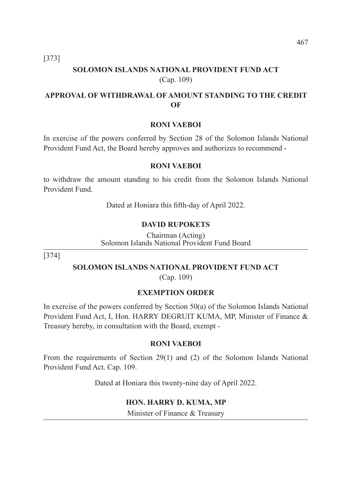[373]

# **SOLOMON ISLANDS NATIONAL PROVIDENT FUND ACT**  (Cap. 109)

# **APPROVAL OF WITHDRAWAL OF AMOUNT STANDING TO THE CREDIT OF**

#### **RONI VAEBOI**

In exercise of the powers conferred by Section 28 of the Solomon Islands National Provident Fund Act, the Board hereby approves and authorizes to recommend -

#### **RONI VAEBOI**

to withdraw the amount standing to his credit from the Solomon Islands National Provident Fund.

Dated at Honiara this fifth-day of April 2022.

#### **DAVID RUPOKETS**

Chairman (Acting) Solomon Islands National Provident Fund Board

[374]

## **SOLOMON ISLANDS NATIONAL PROVIDENT FUND ACT**

(Cap. 109)

## **EXEMPTION ORDER**

In exercise of the powers conferred by Section 50(a) of the Solomon Islands National Provident Fund Act, I, Hon. HARRY DEGRUIT KUMA, MP, Minister of Finance & Treasury hereby, in consultation with the Board, exempt -

#### **RONI VAEBOI**

From the requirements of Section 29(1) and (2) of the Solomon Islands National Provident Fund Act. Cap. 109.

Dated at Honiara this twenty-nine day of April 2022.

#### **HON. HARRY D. KUMA, MP**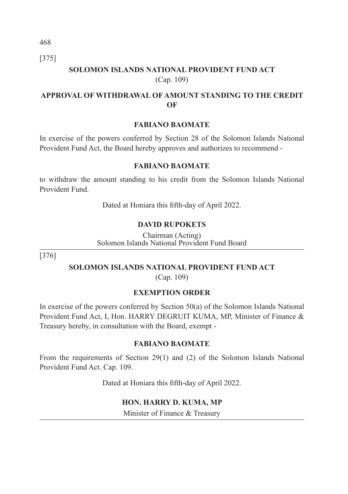[375]

# **SOLOMON ISLANDS NATIONAL PROVIDENT FUND ACT**  (Cap. 109)

# **APPROVAL OF WITHDRAWAL OF AMOUNT STANDING TO THE CREDIT OF**

## **FABIANO BAOMATE**

In exercise of the powers conferred by Section 28 of the Solomon Islands National Provident Fund Act, the Board hereby approves and authorizes to recommend -

#### **FABIANO BAOMATE**

to withdraw the amount standing to his credit from the Solomon Islands National Provident Fund.

Dated at Honiara this fifth-day of April 2022.

## **DAVID RUPOKETS**

Chairman (Acting) Solomon Islands National Provident Fund Board

[376]

## **SOLOMON ISLANDS NATIONAL PROVIDENT FUND ACT**

(Cap. 109)

## **EXEMPTION ORDER**

In exercise of the powers conferred by Section 50(a) of the Solomon Islands National Provident Fund Act, I, Hon. HARRY DEGRUIT KUMA, MP, Minister of Finance & Treasury hereby, in consultation with the Board, exempt -

#### **FABIANO BAOMATE**

From the requirements of Section 29(1) and (2) of the Solomon Islands National Provident Fund Act. Cap. 109.

Dated at Honiara this fifth-day of April 2022.

#### **HON. HARRY D. KUMA, MP**

Minister of Finance & Treasury

468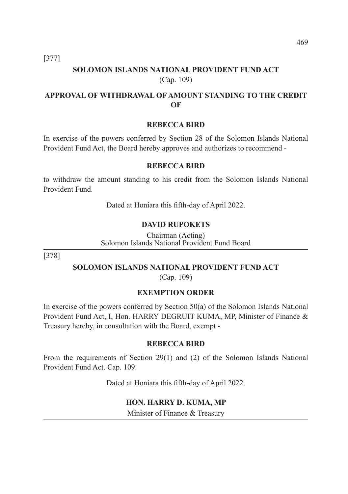[377]

# **SOLOMON ISLANDS NATIONAL PROVIDENT FUND ACT**  (Cap. 109)

# **APPROVAL OF WITHDRAWAL OF AMOUNT STANDING TO THE CREDIT OF**

## **REBECCA BIRD**

In exercise of the powers conferred by Section 28 of the Solomon Islands National Provident Fund Act, the Board hereby approves and authorizes to recommend -

#### **REBECCA BIRD**

to withdraw the amount standing to his credit from the Solomon Islands National Provident Fund.

Dated at Honiara this fifth-day of April 2022.

#### **DAVID RUPOKETS**

Chairman (Acting) Solomon Islands National Provident Fund Board

[378]

## **SOLOMON ISLANDS NATIONAL PROVIDENT FUND ACT**

(Cap. 109)

#### **EXEMPTION ORDER**

In exercise of the powers conferred by Section 50(a) of the Solomon Islands National Provident Fund Act, I, Hon. HARRY DEGRUIT KUMA, MP, Minister of Finance & Treasury hereby, in consultation with the Board, exempt -

#### **REBECCA BIRD**

From the requirements of Section 29(1) and (2) of the Solomon Islands National Provident Fund Act. Cap. 109.

Dated at Honiara this fifth-day of April 2022.

#### **HON. HARRY D. KUMA, MP**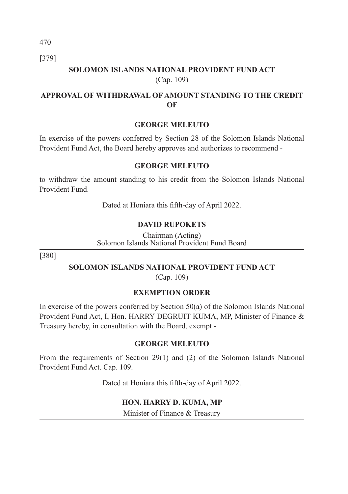470 [379]

> **SOLOMON ISLANDS NATIONAL PROVIDENT FUND ACT**  (Cap. 109)

# **APPROVAL OF WITHDRAWAL OF AMOUNT STANDING TO THE CREDIT OF**

## **GEORGE MELEUTO**

In exercise of the powers conferred by Section 28 of the Solomon Islands National Provident Fund Act, the Board hereby approves and authorizes to recommend -

## **GEORGE MELEUTO**

to withdraw the amount standing to his credit from the Solomon Islands National Provident Fund.

Dated at Honiara this fifth-day of April 2022.

## **DAVID RUPOKETS**

Chairman (Acting) Solomon Islands National Provident Fund Board

[380]

## **SOLOMON ISLANDS NATIONAL PROVIDENT FUND ACT**

(Cap. 109)

## **EXEMPTION ORDER**

In exercise of the powers conferred by Section 50(a) of the Solomon Islands National Provident Fund Act, I, Hon. HARRY DEGRUIT KUMA, MP, Minister of Finance & Treasury hereby, in consultation with the Board, exempt -

## **GEORGE MELEUTO**

From the requirements of Section 29(1) and (2) of the Solomon Islands National Provident Fund Act. Cap. 109.

Dated at Honiara this fifth-day of April 2022.

## **HON. HARRY D. KUMA, MP**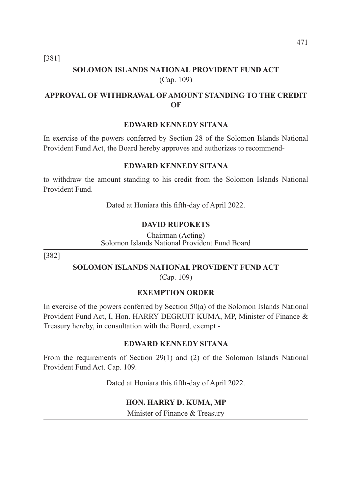[381]

# **SOLOMON ISLANDS NATIONAL PROVIDENT FUND ACT**  (Cap. 109)

# **APPROVAL OF WITHDRAWAL OF AMOUNT STANDING TO THE CREDIT OF**

#### **EDWARD KENNEDY SITANA**

In exercise of the powers conferred by Section 28 of the Solomon Islands National Provident Fund Act, the Board hereby approves and authorizes to recommend-

#### **EDWARD KENNEDY SITANA**

to withdraw the amount standing to his credit from the Solomon Islands National Provident Fund.

Dated at Honiara this fifth-day of April 2022.

#### **DAVID RUPOKETS**

Chairman (Acting) Solomon Islands National Provident Fund Board

[382]

#### **SOLOMON ISLANDS NATIONAL PROVIDENT FUND ACT**

(Cap. 109)

## **EXEMPTION ORDER**

In exercise of the powers conferred by Section 50(a) of the Solomon Islands National Provident Fund Act, I, Hon. HARRY DEGRUIT KUMA, MP, Minister of Finance & Treasury hereby, in consultation with the Board, exempt -

#### **EDWARD KENNEDY SITANA**

From the requirements of Section 29(1) and (2) of the Solomon Islands National Provident Fund Act. Cap. 109.

Dated at Honiara this fifth-day of April 2022.

#### **HON. HARRY D. KUMA, MP**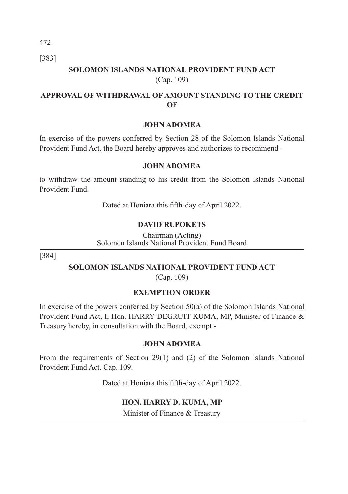472 [383]

# **SOLOMON ISLANDS NATIONAL PROVIDENT FUND ACT**  (Cap. 109)

# **APPROVAL OF WITHDRAWAL OF AMOUNT STANDING TO THE CREDIT OF**

## **JOHN ADOMEA**

In exercise of the powers conferred by Section 28 of the Solomon Islands National Provident Fund Act, the Board hereby approves and authorizes to recommend -

#### **JOHN ADOMEA**

to withdraw the amount standing to his credit from the Solomon Islands National Provident Fund.

Dated at Honiara this fifth-day of April 2022.

#### **DAVID RUPOKETS**

Chairman (Acting) Solomon Islands National Provident Fund Board

[384]

## **SOLOMON ISLANDS NATIONAL PROVIDENT FUND ACT**

(Cap. 109)

## **EXEMPTION ORDER**

In exercise of the powers conferred by Section 50(a) of the Solomon Islands National Provident Fund Act, I, Hon. HARRY DEGRUIT KUMA, MP, Minister of Finance & Treasury hereby, in consultation with the Board, exempt -

## **JOHN ADOMEA**

From the requirements of Section 29(1) and (2) of the Solomon Islands National Provident Fund Act. Cap. 109.

Dated at Honiara this fifth-day of April 2022.

#### **HON. HARRY D. KUMA, MP**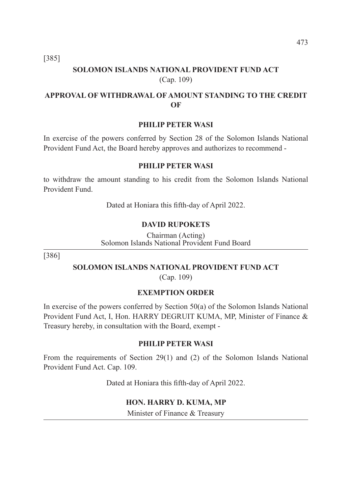[385]

# **SOLOMON ISLANDS NATIONAL PROVIDENT FUND ACT**  (Cap. 109)

# **APPROVAL OF WITHDRAWAL OF AMOUNT STANDING TO THE CREDIT OF**

#### **PHILIP PETER WASI**

In exercise of the powers conferred by Section 28 of the Solomon Islands National Provident Fund Act, the Board hereby approves and authorizes to recommend -

#### **PHILIP PETER WASI**

to withdraw the amount standing to his credit from the Solomon Islands National Provident Fund.

Dated at Honiara this fifth-day of April 2022.

#### **DAVID RUPOKETS**

Chairman (Acting) Solomon Islands National Provident Fund Board

[386]

## **SOLOMON ISLANDS NATIONAL PROVIDENT FUND ACT**

(Cap. 109)

## **EXEMPTION ORDER**

In exercise of the powers conferred by Section 50(a) of the Solomon Islands National Provident Fund Act, I, Hon. HARRY DEGRUIT KUMA, MP, Minister of Finance & Treasury hereby, in consultation with the Board, exempt -

#### **PHILIP PETER WASI**

From the requirements of Section 29(1) and (2) of the Solomon Islands National Provident Fund Act. Cap. 109.

Dated at Honiara this fifth-day of April 2022.

#### **HON. HARRY D. KUMA, MP**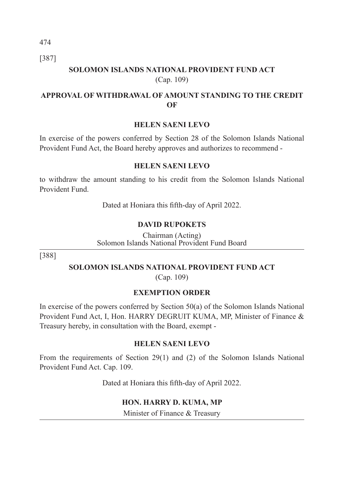474 [387]

# **SOLOMON ISLANDS NATIONAL PROVIDENT FUND ACT**  (Cap. 109)

# **APPROVAL OF WITHDRAWAL OF AMOUNT STANDING TO THE CREDIT OF**

## **HELEN SAENI LEVO**

In exercise of the powers conferred by Section 28 of the Solomon Islands National Provident Fund Act, the Board hereby approves and authorizes to recommend -

## **HELEN SAENI LEVO**

to withdraw the amount standing to his credit from the Solomon Islands National Provident Fund.

Dated at Honiara this fifth-day of April 2022.

## **DAVID RUPOKETS**

Chairman (Acting) Solomon Islands National Provident Fund Board

[388]

## **SOLOMON ISLANDS NATIONAL PROVIDENT FUND ACT**

(Cap. 109)

## **EXEMPTION ORDER**

In exercise of the powers conferred by Section 50(a) of the Solomon Islands National Provident Fund Act, I, Hon. HARRY DEGRUIT KUMA, MP, Minister of Finance & Treasury hereby, in consultation with the Board, exempt -

# **HELEN SAENI LEVO**

From the requirements of Section 29(1) and (2) of the Solomon Islands National Provident Fund Act. Cap. 109.

Dated at Honiara this fifth-day of April 2022.

## **HON. HARRY D. KUMA, MP**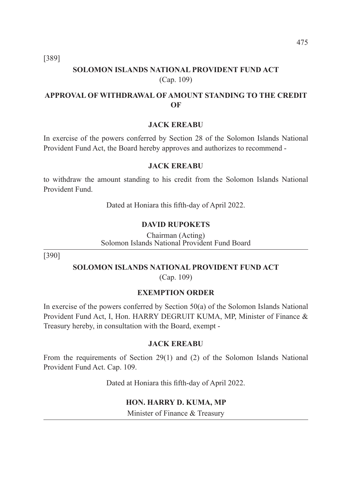[389]

# **SOLOMON ISLANDS NATIONAL PROVIDENT FUND ACT**  (Cap. 109)

# **APPROVAL OF WITHDRAWAL OF AMOUNT STANDING TO THE CREDIT OF**

#### **JACK EREABU**

In exercise of the powers conferred by Section 28 of the Solomon Islands National Provident Fund Act, the Board hereby approves and authorizes to recommend -

#### **JACK EREABU**

to withdraw the amount standing to his credit from the Solomon Islands National Provident Fund.

Dated at Honiara this fifth-day of April 2022.

#### **DAVID RUPOKETS**

Chairman (Acting) Solomon Islands National Provident Fund Board

[390]

## **SOLOMON ISLANDS NATIONAL PROVIDENT FUND ACT**

(Cap. 109)

## **EXEMPTION ORDER**

In exercise of the powers conferred by Section 50(a) of the Solomon Islands National Provident Fund Act, I, Hon. HARRY DEGRUIT KUMA, MP, Minister of Finance & Treasury hereby, in consultation with the Board, exempt -

#### **JACK EREABU**

From the requirements of Section 29(1) and (2) of the Solomon Islands National Provident Fund Act. Cap. 109.

Dated at Honiara this fifth-day of April 2022.

#### **HON. HARRY D. KUMA, MP**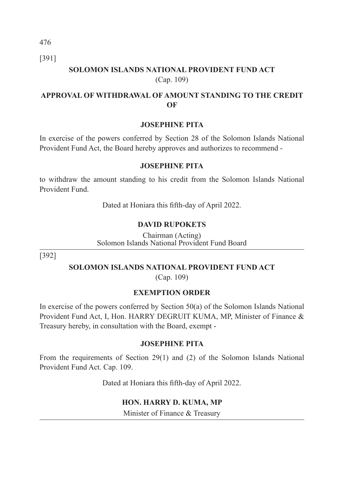[391]

# **SOLOMON ISLANDS NATIONAL PROVIDENT FUND ACT**  (Cap. 109)

# **APPROVAL OF WITHDRAWAL OF AMOUNT STANDING TO THE CREDIT OF**

## **JOSEPHINE PITA**

In exercise of the powers conferred by Section 28 of the Solomon Islands National Provident Fund Act, the Board hereby approves and authorizes to recommend -

## **JOSEPHINE PITA**

to withdraw the amount standing to his credit from the Solomon Islands National Provident Fund.

Dated at Honiara this fifth-day of April 2022.

## **DAVID RUPOKETS**

Chairman (Acting) Solomon Islands National Provident Fund Board

[392]

# **SOLOMON ISLANDS NATIONAL PROVIDENT FUND ACT**

(Cap. 109)

# **EXEMPTION ORDER**

In exercise of the powers conferred by Section 50(a) of the Solomon Islands National Provident Fund Act, I, Hon. HARRY DEGRUIT KUMA, MP, Minister of Finance & Treasury hereby, in consultation with the Board, exempt -

## **JOSEPHINE PITA**

From the requirements of Section 29(1) and (2) of the Solomon Islands National Provident Fund Act. Cap. 109.

Dated at Honiara this fifth-day of April 2022.

# **HON. HARRY D. KUMA, MP**

Minister of Finance & Treasury

476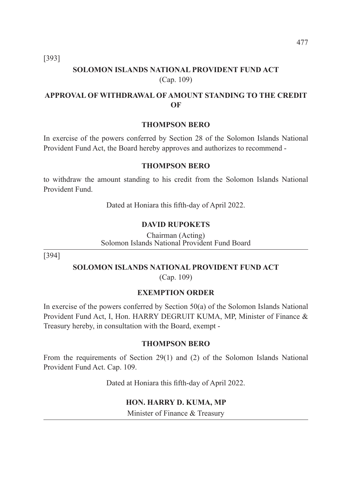[393]

# **SOLOMON ISLANDS NATIONAL PROVIDENT FUND ACT**  (Cap. 109)

# **APPROVAL OF WITHDRAWAL OF AMOUNT STANDING TO THE CREDIT OF**

#### **THOMPSON BERO**

In exercise of the powers conferred by Section 28 of the Solomon Islands National Provident Fund Act, the Board hereby approves and authorizes to recommend -

#### **THOMPSON BERO**

to withdraw the amount standing to his credit from the Solomon Islands National Provident Fund.

Dated at Honiara this fifth-day of April 2022.

#### **DAVID RUPOKETS**

Chairman (Acting) Solomon Islands National Provident Fund Board

[394]

## **SOLOMON ISLANDS NATIONAL PROVIDENT FUND ACT**

(Cap. 109)

## **EXEMPTION ORDER**

In exercise of the powers conferred by Section 50(a) of the Solomon Islands National Provident Fund Act, I, Hon. HARRY DEGRUIT KUMA, MP, Minister of Finance & Treasury hereby, in consultation with the Board, exempt -

#### **THOMPSON BERO**

From the requirements of Section 29(1) and (2) of the Solomon Islands National Provident Fund Act. Cap. 109.

Dated at Honiara this fifth-day of April 2022.

#### **HON. HARRY D. KUMA, MP**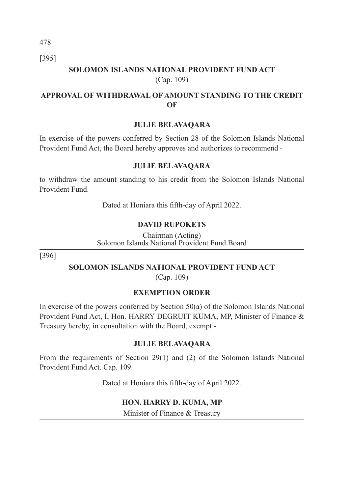[395]

# **SOLOMON ISLANDS NATIONAL PROVIDENT FUND ACT**  (Cap. 109)

# **APPROVAL OF WITHDRAWAL OF AMOUNT STANDING TO THE CREDIT OF**

## **JULIE BELAVAQARA**

In exercise of the powers conferred by Section 28 of the Solomon Islands National Provident Fund Act, the Board hereby approves and authorizes to recommend -

#### **JULIE BELAVAQARA**

to withdraw the amount standing to his credit from the Solomon Islands National Provident Fund.

Dated at Honiara this fifth-day of April 2022.

#### **DAVID RUPOKETS**

Chairman (Acting) Solomon Islands National Provident Fund Board

[396]

## **SOLOMON ISLANDS NATIONAL PROVIDENT FUND ACT**

(Cap. 109)

## **EXEMPTION ORDER**

In exercise of the powers conferred by Section 50(a) of the Solomon Islands National Provident Fund Act, I, Hon. HARRY DEGRUIT KUMA, MP, Minister of Finance & Treasury hereby, in consultation with the Board, exempt -

#### **JULIE BELAVAQARA**

From the requirements of Section 29(1) and (2) of the Solomon Islands National Provident Fund Act. Cap. 109.

Dated at Honiara this fifth-day of April 2022.

#### **HON. HARRY D. KUMA, MP**

Minister of Finance & Treasury

478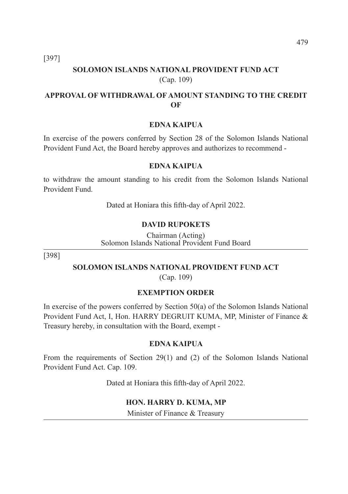[397]

# **SOLOMON ISLANDS NATIONAL PROVIDENT FUND ACT**  (Cap. 109)

# **APPROVAL OF WITHDRAWAL OF AMOUNT STANDING TO THE CREDIT OF**

#### **EDNA KAIPUA**

In exercise of the powers conferred by Section 28 of the Solomon Islands National Provident Fund Act, the Board hereby approves and authorizes to recommend -

#### **EDNA KAIPUA**

to withdraw the amount standing to his credit from the Solomon Islands National Provident Fund.

Dated at Honiara this fifth-day of April 2022.

#### **DAVID RUPOKETS**

Chairman (Acting) Solomon Islands National Provident Fund Board

[398]

## **SOLOMON ISLANDS NATIONAL PROVIDENT FUND ACT**

(Cap. 109)

## **EXEMPTION ORDER**

In exercise of the powers conferred by Section 50(a) of the Solomon Islands National Provident Fund Act, I, Hon. HARRY DEGRUIT KUMA, MP, Minister of Finance & Treasury hereby, in consultation with the Board, exempt -

#### **EDNA KAIPUA**

From the requirements of Section 29(1) and (2) of the Solomon Islands National Provident Fund Act. Cap. 109.

Dated at Honiara this fifth-day of April 2022.

#### **HON. HARRY D. KUMA, MP**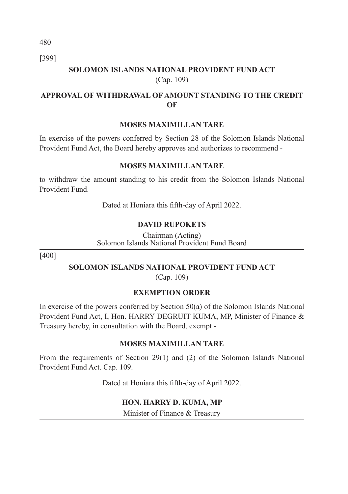480 [399]

# **SOLOMON ISLANDS NATIONAL PROVIDENT FUND ACT**  (Cap. 109)

# **APPROVAL OF WITHDRAWAL OF AMOUNT STANDING TO THE CREDIT OF**

## **MOSES MAXIMILLAN TARE**

In exercise of the powers conferred by Section 28 of the Solomon Islands National Provident Fund Act, the Board hereby approves and authorizes to recommend -

## **MOSES MAXIMILLAN TARE**

to withdraw the amount standing to his credit from the Solomon Islands National Provident Fund.

Dated at Honiara this fifth-day of April 2022.

## **DAVID RUPOKETS**

Chairman (Acting) Solomon Islands National Provident Fund Board

[400]

## **SOLOMON ISLANDS NATIONAL PROVIDENT FUND ACT**

(Cap. 109)

## **EXEMPTION ORDER**

In exercise of the powers conferred by Section 50(a) of the Solomon Islands National Provident Fund Act, I, Hon. HARRY DEGRUIT KUMA, MP, Minister of Finance & Treasury hereby, in consultation with the Board, exempt -

## **MOSES MAXIMILLAN TARE**

From the requirements of Section 29(1) and (2) of the Solomon Islands National Provident Fund Act. Cap. 109.

Dated at Honiara this fifth-day of April 2022.

# **HON. HARRY D. KUMA, MP**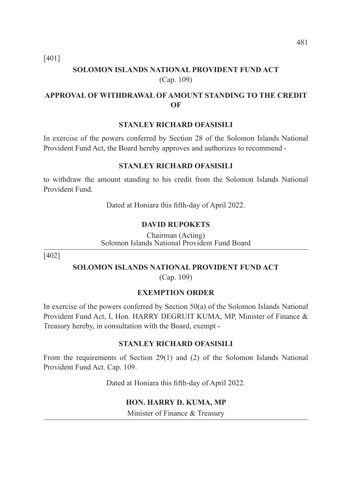[401]

# **SOLOMON ISLANDS NATIONAL PROVIDENT FUND ACT**  (Cap. 109)

# **APPROVAL OF WITHDRAWAL OF AMOUNT STANDING TO THE CREDIT OF**

## **STANLEY RICHARD OFASISILI**

In exercise of the powers conferred by Section 28 of the Solomon Islands National Provident Fund Act, the Board hereby approves and authorizes to recommend -

#### **STANLEY RICHARD OFASISILI**

to withdraw the amount standing to his credit from the Solomon Islands National Provident Fund.

Dated at Honiara this fifth-day of April 2022.

#### **DAVID RUPOKETS**

Chairman (Acting) Solomon Islands National Provident Fund Board

[402]

## **SOLOMON ISLANDS NATIONAL PROVIDENT FUND ACT**

(Cap. 109)

## **EXEMPTION ORDER**

In exercise of the powers conferred by Section 50(a) of the Solomon Islands National Provident Fund Act, I, Hon. HARRY DEGRUIT KUMA, MP, Minister of Finance & Treasury hereby, in consultation with the Board, exempt -

#### **STANLEY RICHARD OFASISILI**

From the requirements of Section 29(1) and (2) of the Solomon Islands National Provident Fund Act. Cap. 109.

Dated at Honiara this fifth-day of April 2022.

#### **HON. HARRY D. KUMA, MP**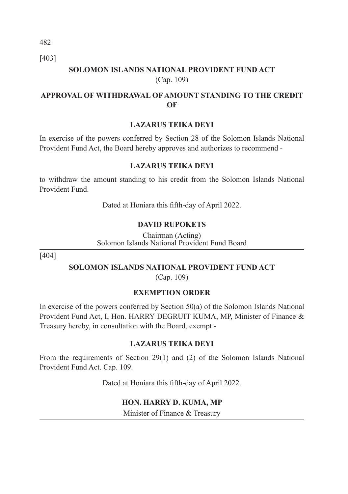[403]

# **SOLOMON ISLANDS NATIONAL PROVIDENT FUND ACT**  (Cap. 109)

# **APPROVAL OF WITHDRAWAL OF AMOUNT STANDING TO THE CREDIT OF**

## **LAZARUS TEIKA DEYI**

In exercise of the powers conferred by Section 28 of the Solomon Islands National Provident Fund Act, the Board hereby approves and authorizes to recommend -

## **LAZARUS TEIKA DEYI**

to withdraw the amount standing to his credit from the Solomon Islands National Provident Fund.

Dated at Honiara this fifth-day of April 2022.

## **DAVID RUPOKETS**

Chairman (Acting) Solomon Islands National Provident Fund Board

[404]

## **SOLOMON ISLANDS NATIONAL PROVIDENT FUND ACT**

(Cap. 109)

## **EXEMPTION ORDER**

In exercise of the powers conferred by Section 50(a) of the Solomon Islands National Provident Fund Act, I, Hon. HARRY DEGRUIT KUMA, MP, Minister of Finance & Treasury hereby, in consultation with the Board, exempt -

## **LAZARUS TEIKA DEYI**

From the requirements of Section 29(1) and (2) of the Solomon Islands National Provident Fund Act. Cap. 109.

Dated at Honiara this fifth-day of April 2022.

## **HON. HARRY D. KUMA, MP**

Minister of Finance & Treasury

482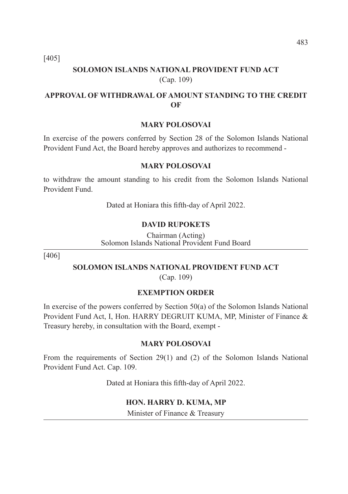[405]

# **SOLOMON ISLANDS NATIONAL PROVIDENT FUND ACT**  (Cap. 109)

# **APPROVAL OF WITHDRAWAL OF AMOUNT STANDING TO THE CREDIT OF**

## **MARY POLOSOVAI**

In exercise of the powers conferred by Section 28 of the Solomon Islands National Provident Fund Act, the Board hereby approves and authorizes to recommend -

#### **MARY POLOSOVAI**

to withdraw the amount standing to his credit from the Solomon Islands National Provident Fund.

Dated at Honiara this fifth-day of April 2022.

#### **DAVID RUPOKETS**

Chairman (Acting) Solomon Islands National Provident Fund Board

[406]

## **SOLOMON ISLANDS NATIONAL PROVIDENT FUND ACT**

(Cap. 109)

#### **EXEMPTION ORDER**

In exercise of the powers conferred by Section 50(a) of the Solomon Islands National Provident Fund Act, I, Hon. HARRY DEGRUIT KUMA, MP, Minister of Finance & Treasury hereby, in consultation with the Board, exempt -

#### **MARY POLOSOVAI**

From the requirements of Section 29(1) and (2) of the Solomon Islands National Provident Fund Act. Cap. 109.

Dated at Honiara this fifth-day of April 2022.

#### **HON. HARRY D. KUMA, MP**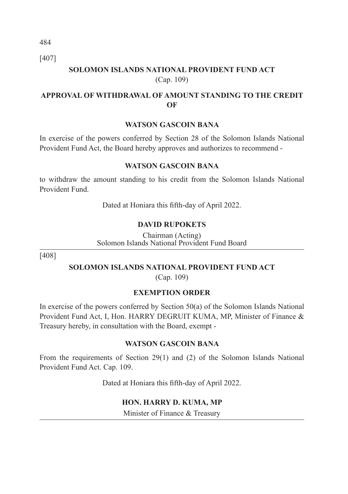484 [407]

# **SOLOMON ISLANDS NATIONAL PROVIDENT FUND ACT**  (Cap. 109)

# **APPROVAL OF WITHDRAWAL OF AMOUNT STANDING TO THE CREDIT OF**

## **WATSON GASCOIN BANA**

In exercise of the powers conferred by Section 28 of the Solomon Islands National Provident Fund Act, the Board hereby approves and authorizes to recommend -

## **WATSON GASCOIN BANA**

to withdraw the amount standing to his credit from the Solomon Islands National Provident Fund.

Dated at Honiara this fifth-day of April 2022.

## **DAVID RUPOKETS**

Chairman (Acting) Solomon Islands National Provident Fund Board

[408]

## **SOLOMON ISLANDS NATIONAL PROVIDENT FUND ACT**

(Cap. 109)

## **EXEMPTION ORDER**

In exercise of the powers conferred by Section 50(a) of the Solomon Islands National Provident Fund Act, I, Hon. HARRY DEGRUIT KUMA, MP, Minister of Finance & Treasury hereby, in consultation with the Board, exempt -

## **WATSON GASCOIN BANA**

From the requirements of Section 29(1) and (2) of the Solomon Islands National Provident Fund Act. Cap. 109.

Dated at Honiara this fifth-day of April 2022.

## **HON. HARRY D. KUMA, MP**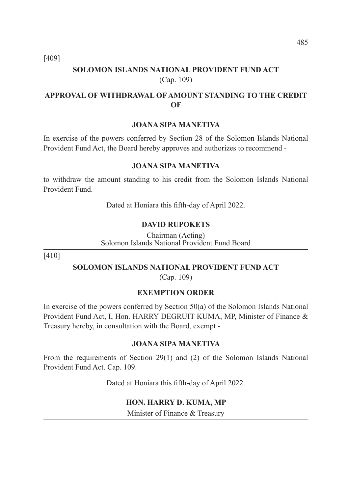[409]

# **SOLOMON ISLANDS NATIONAL PROVIDENT FUND ACT**  (Cap. 109)

# **APPROVAL OF WITHDRAWAL OF AMOUNT STANDING TO THE CREDIT OF**

#### **JOANA SIPA MANETIVA**

In exercise of the powers conferred by Section 28 of the Solomon Islands National Provident Fund Act, the Board hereby approves and authorizes to recommend -

#### **JOANA SIPA MANETIVA**

to withdraw the amount standing to his credit from the Solomon Islands National Provident Fund.

Dated at Honiara this fifth-day of April 2022.

#### **DAVID RUPOKETS**

Chairman (Acting) Solomon Islands National Provident Fund Board

[410]

## **SOLOMON ISLANDS NATIONAL PROVIDENT FUND ACT**

(Cap. 109)

## **EXEMPTION ORDER**

In exercise of the powers conferred by Section 50(a) of the Solomon Islands National Provident Fund Act, I, Hon. HARRY DEGRUIT KUMA, MP, Minister of Finance & Treasury hereby, in consultation with the Board, exempt -

# **JOANA SIPA MANETIVA**

From the requirements of Section 29(1) and (2) of the Solomon Islands National Provident Fund Act. Cap. 109.

Dated at Honiara this fifth-day of April 2022.

#### **HON. HARRY D. KUMA, MP**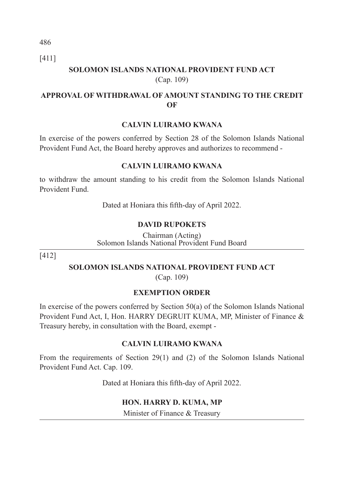[411]

# **SOLOMON ISLANDS NATIONAL PROVIDENT FUND ACT**  (Cap. 109)

# **APPROVAL OF WITHDRAWAL OF AMOUNT STANDING TO THE CREDIT OF**

## **CALVIN LUIRAMO KWANA**

In exercise of the powers conferred by Section 28 of the Solomon Islands National Provident Fund Act, the Board hereby approves and authorizes to recommend -

## **CALVIN LUIRAMO KWANA**

to withdraw the amount standing to his credit from the Solomon Islands National Provident Fund.

Dated at Honiara this fifth-day of April 2022.

## **DAVID RUPOKETS**

Chairman (Acting) Solomon Islands National Provident Fund Board

[412]

## **SOLOMON ISLANDS NATIONAL PROVIDENT FUND ACT**

(Cap. 109)

## **EXEMPTION ORDER**

In exercise of the powers conferred by Section 50(a) of the Solomon Islands National Provident Fund Act, I, Hon. HARRY DEGRUIT KUMA, MP, Minister of Finance & Treasury hereby, in consultation with the Board, exempt -

## **CALVIN LUIRAMO KWANA**

From the requirements of Section 29(1) and (2) of the Solomon Islands National Provident Fund Act. Cap. 109.

Dated at Honiara this fifth-day of April 2022.

## **HON. HARRY D. KUMA, MP**

Minister of Finance & Treasury

486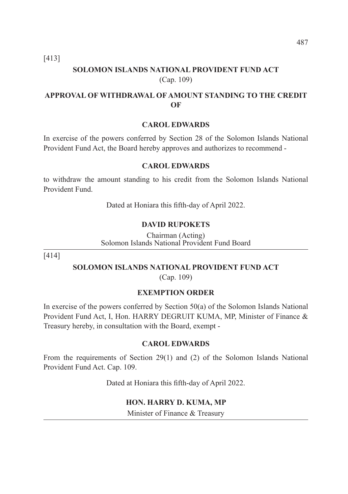[413]

# **SOLOMON ISLANDS NATIONAL PROVIDENT FUND ACT**  (Cap. 109)

# **APPROVAL OF WITHDRAWAL OF AMOUNT STANDING TO THE CREDIT OF**

## **CAROL EDWARDS**

In exercise of the powers conferred by Section 28 of the Solomon Islands National Provident Fund Act, the Board hereby approves and authorizes to recommend -

#### **CAROL EDWARDS**

to withdraw the amount standing to his credit from the Solomon Islands National Provident Fund.

Dated at Honiara this fifth-day of April 2022.

#### **DAVID RUPOKETS**

Chairman (Acting) Solomon Islands National Provident Fund Board

[414]

## **SOLOMON ISLANDS NATIONAL PROVIDENT FUND ACT**

(Cap. 109)

## **EXEMPTION ORDER**

In exercise of the powers conferred by Section 50(a) of the Solomon Islands National Provident Fund Act, I, Hon. HARRY DEGRUIT KUMA, MP, Minister of Finance & Treasury hereby, in consultation with the Board, exempt -

# **CAROL EDWARDS**

From the requirements of Section 29(1) and (2) of the Solomon Islands National Provident Fund Act. Cap. 109.

Dated at Honiara this fifth-day of April 2022.

#### **HON. HARRY D. KUMA, MP**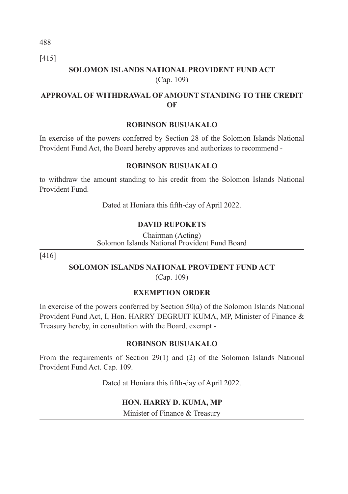488 [415]

# **SOLOMON ISLANDS NATIONAL PROVIDENT FUND ACT**  (Cap. 109)

# **APPROVAL OF WITHDRAWAL OF AMOUNT STANDING TO THE CREDIT OF**

## **ROBINSON BUSUAKALO**

In exercise of the powers conferred by Section 28 of the Solomon Islands National Provident Fund Act, the Board hereby approves and authorizes to recommend -

## **ROBINSON BUSUAKALO**

to withdraw the amount standing to his credit from the Solomon Islands National Provident Fund.

Dated at Honiara this fifth-day of April 2022.

## **DAVID RUPOKETS**

Chairman (Acting) Solomon Islands National Provident Fund Board

[416]

## **SOLOMON ISLANDS NATIONAL PROVIDENT FUND ACT**

(Cap. 109)

## **EXEMPTION ORDER**

In exercise of the powers conferred by Section 50(a) of the Solomon Islands National Provident Fund Act, I, Hon. HARRY DEGRUIT KUMA, MP, Minister of Finance & Treasury hereby, in consultation with the Board, exempt -

## **ROBINSON BUSUAKALO**

From the requirements of Section 29(1) and (2) of the Solomon Islands National Provident Fund Act. Cap. 109.

Dated at Honiara this fifth-day of April 2022.

## **HON. HARRY D. KUMA, MP**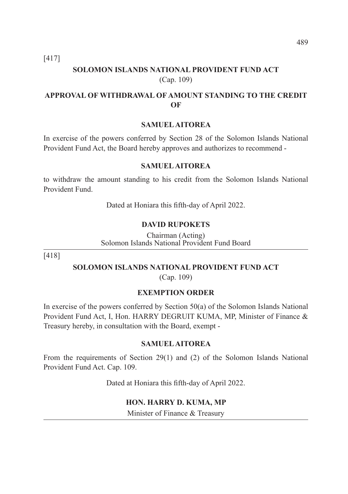[417]

# **SOLOMON ISLANDS NATIONAL PROVIDENT FUND ACT**  (Cap. 109)

# **APPROVAL OF WITHDRAWAL OF AMOUNT STANDING TO THE CREDIT OF**

## **SAMUEL AITOREA**

In exercise of the powers conferred by Section 28 of the Solomon Islands National Provident Fund Act, the Board hereby approves and authorizes to recommend -

#### **SAMUEL AITOREA**

to withdraw the amount standing to his credit from the Solomon Islands National Provident Fund.

Dated at Honiara this fifth-day of April 2022.

#### **DAVID RUPOKETS**

Chairman (Acting) Solomon Islands National Provident Fund Board

[418]

## **SOLOMON ISLANDS NATIONAL PROVIDENT FUND ACT**

(Cap. 109)

## **EXEMPTION ORDER**

In exercise of the powers conferred by Section 50(a) of the Solomon Islands National Provident Fund Act, I, Hon. HARRY DEGRUIT KUMA, MP, Minister of Finance & Treasury hereby, in consultation with the Board, exempt -

## **SAMUEL AITOREA**

From the requirements of Section 29(1) and (2) of the Solomon Islands National Provident Fund Act. Cap. 109.

Dated at Honiara this fifth-day of April 2022.

#### **HON. HARRY D. KUMA, MP**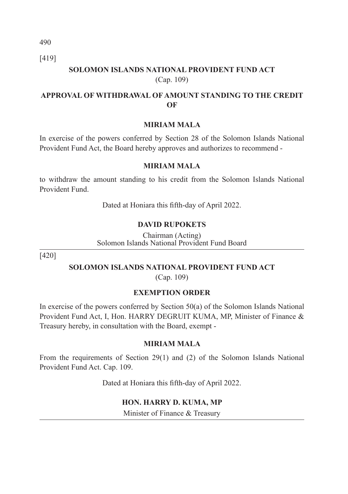490

[419]

# **SOLOMON ISLANDS NATIONAL PROVIDENT FUND ACT**  (Cap. 109)

# **APPROVAL OF WITHDRAWAL OF AMOUNT STANDING TO THE CREDIT OF**

## **MIRIAM MALA**

In exercise of the powers conferred by Section 28 of the Solomon Islands National Provident Fund Act, the Board hereby approves and authorizes to recommend -

## **MIRIAM MALA**

to withdraw the amount standing to his credit from the Solomon Islands National Provident Fund.

Dated at Honiara this fifth-day of April 2022.

## **DAVID RUPOKETS**

Chairman (Acting) Solomon Islands National Provident Fund Board

[420]

## **SOLOMON ISLANDS NATIONAL PROVIDENT FUND ACT**

(Cap. 109)

## **EXEMPTION ORDER**

In exercise of the powers conferred by Section 50(a) of the Solomon Islands National Provident Fund Act, I, Hon. HARRY DEGRUIT KUMA, MP, Minister of Finance & Treasury hereby, in consultation with the Board, exempt -

## **MIRIAM MALA**

From the requirements of Section 29(1) and (2) of the Solomon Islands National Provident Fund Act. Cap. 109.

Dated at Honiara this fifth-day of April 2022.

## **HON. HARRY D. KUMA, MP**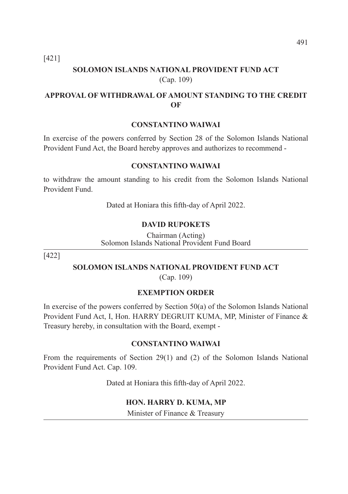[421]

# **SOLOMON ISLANDS NATIONAL PROVIDENT FUND ACT**  (Cap. 109)

# **APPROVAL OF WITHDRAWAL OF AMOUNT STANDING TO THE CREDIT OF**

## **CONSTANTINO WAIWAI**

In exercise of the powers conferred by Section 28 of the Solomon Islands National Provident Fund Act, the Board hereby approves and authorizes to recommend -

#### **CONSTANTINO WAIWAI**

to withdraw the amount standing to his credit from the Solomon Islands National Provident Fund.

Dated at Honiara this fifth-day of April 2022.

#### **DAVID RUPOKETS**

Chairman (Acting) Solomon Islands National Provident Fund Board

[422]

## **SOLOMON ISLANDS NATIONAL PROVIDENT FUND ACT**

(Cap. 109)

## **EXEMPTION ORDER**

In exercise of the powers conferred by Section 50(a) of the Solomon Islands National Provident Fund Act, I, Hon. HARRY DEGRUIT KUMA, MP, Minister of Finance & Treasury hereby, in consultation with the Board, exempt -

#### **CONSTANTINO WAIWAI**

From the requirements of Section 29(1) and (2) of the Solomon Islands National Provident Fund Act. Cap. 109.

Dated at Honiara this fifth-day of April 2022.

#### **HON. HARRY D. KUMA, MP**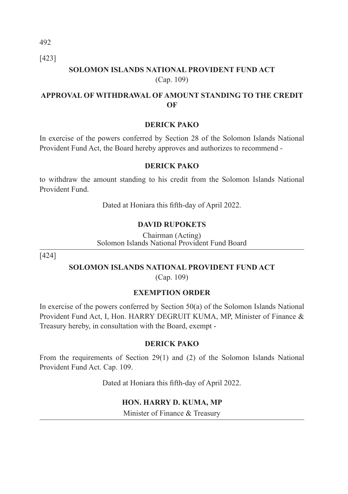492 [423]

# **SOLOMON ISLANDS NATIONAL PROVIDENT FUND ACT**  (Cap. 109)

# **APPROVAL OF WITHDRAWAL OF AMOUNT STANDING TO THE CREDIT OF**

## **DERICK PAKO**

In exercise of the powers conferred by Section 28 of the Solomon Islands National Provident Fund Act, the Board hereby approves and authorizes to recommend -

#### **DERICK PAKO**

to withdraw the amount standing to his credit from the Solomon Islands National Provident Fund.

Dated at Honiara this fifth-day of April 2022.

#### **DAVID RUPOKETS**

Chairman (Acting) Solomon Islands National Provident Fund Board

[424]

## **SOLOMON ISLANDS NATIONAL PROVIDENT FUND ACT**

(Cap. 109)

## **EXEMPTION ORDER**

In exercise of the powers conferred by Section 50(a) of the Solomon Islands National Provident Fund Act, I, Hon. HARRY DEGRUIT KUMA, MP, Minister of Finance & Treasury hereby, in consultation with the Board, exempt -

#### **DERICK PAKO**

From the requirements of Section 29(1) and (2) of the Solomon Islands National Provident Fund Act. Cap. 109.

Dated at Honiara this fifth-day of April 2022.

#### **HON. HARRY D. KUMA, MP**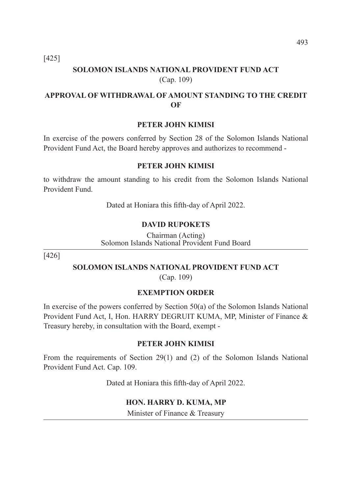[425]

# **SOLOMON ISLANDS NATIONAL PROVIDENT FUND ACT**  (Cap. 109)

# **APPROVAL OF WITHDRAWAL OF AMOUNT STANDING TO THE CREDIT OF**

## **PETER JOHN KIMISI**

In exercise of the powers conferred by Section 28 of the Solomon Islands National Provident Fund Act, the Board hereby approves and authorizes to recommend -

#### **PETER JOHN KIMISI**

to withdraw the amount standing to his credit from the Solomon Islands National Provident Fund.

Dated at Honiara this fifth-day of April 2022.

#### **DAVID RUPOKETS**

Chairman (Acting) Solomon Islands National Provident Fund Board

[426]

## **SOLOMON ISLANDS NATIONAL PROVIDENT FUND ACT**

(Cap. 109)

#### **EXEMPTION ORDER**

In exercise of the powers conferred by Section 50(a) of the Solomon Islands National Provident Fund Act, I, Hon. HARRY DEGRUIT KUMA, MP, Minister of Finance & Treasury hereby, in consultation with the Board, exempt -

#### **PETER JOHN KIMISI**

From the requirements of Section 29(1) and (2) of the Solomon Islands National Provident Fund Act. Cap. 109.

Dated at Honiara this fifth-day of April 2022.

#### **HON. HARRY D. KUMA, MP**